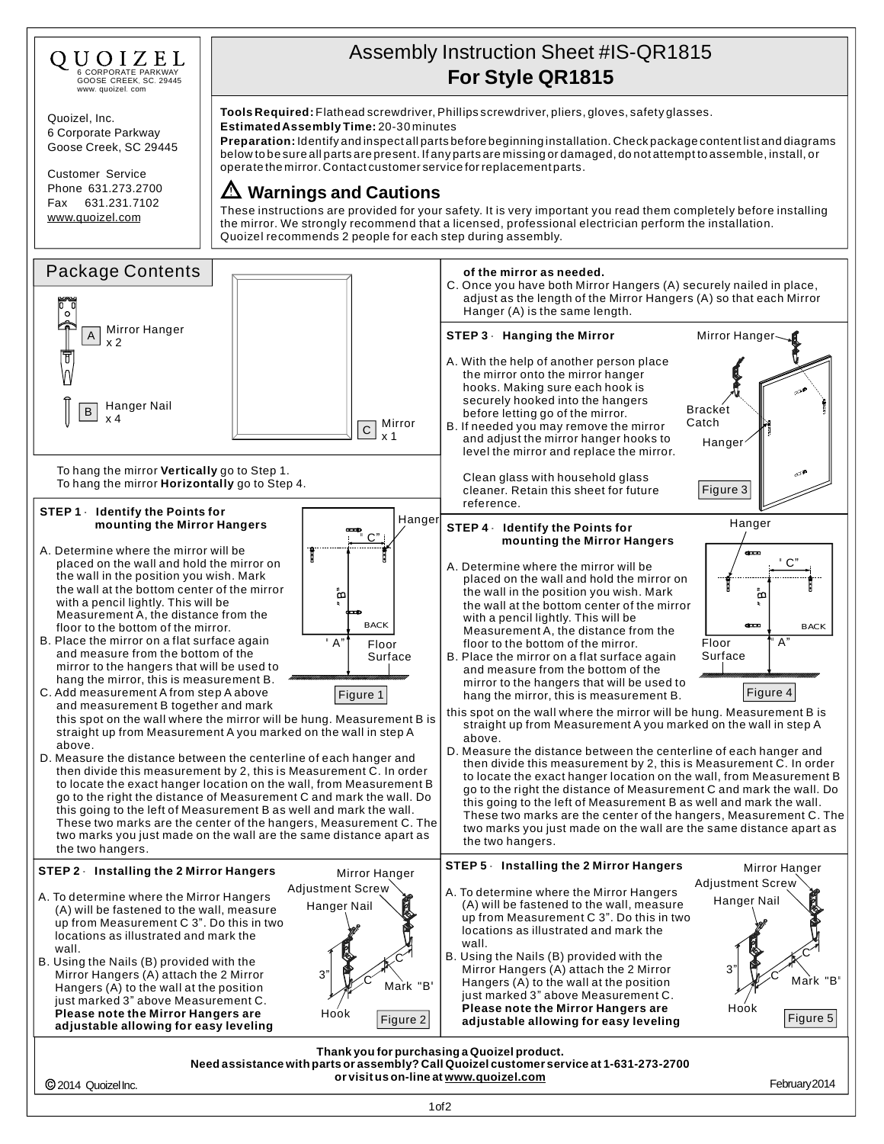